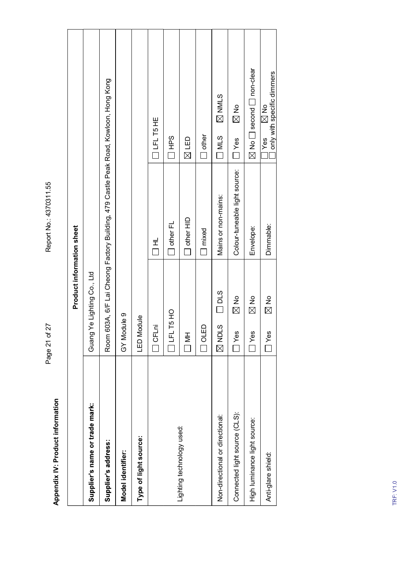| Room 603A, 6/F Lai Cheong Factory Building, 479 Castle Peak Road, Kowloon, Hong Kong<br><b>ZIMNIZ</b><br>$\frac{1}{\mathbb{Z}}$<br>$\mathbb{Z}$ No<br>OLFL T5 HE<br>$\Box$ other<br><b>SdHD</b><br>$\Box$ MLS<br>$\boxtimes$ LED<br>] Yes<br>$\square$ Yes<br>Colour-tuneable light source:<br>Mains or non-mains:<br>$\Box$ other HID<br>$\square$ other FL<br>Dimmable:<br>Product information sheet<br>Envelope:<br>$\square$ mixed<br>$\begin{array}{c}\n\pm \\ \hline\n\end{array}$<br>Ye Lighting Co., Ltd<br>210 <sub>2</sub><br>$\mathbb{Z}^{\mathsf{N}}$<br>$\mathbb{Z}^{\mathsf{N}}$<br>$\mathbb{Z}$ No<br>$\Box$ LFL T5 HO<br>GY Module 9<br>LED Module<br>O CFLni<br>$\Box$ or ED<br><b>Nous</b><br>$\square$ Yes<br>$\Box$ Yes<br>$\Box$ Yes<br>HN D<br>Guang<br>Supplier's name or trade mark:<br>Connected light source (CLS):<br>Non-directional or directional:<br>High luminance light source:<br>Lighting technology used:<br>Type of light source:<br>Supplier's address:<br>Model identifier:<br>Anti-glare shield: |                                               |
|------------------------------------------------------------------------------------------------------------------------------------------------------------------------------------------------------------------------------------------------------------------------------------------------------------------------------------------------------------------------------------------------------------------------------------------------------------------------------------------------------------------------------------------------------------------------------------------------------------------------------------------------------------------------------------------------------------------------------------------------------------------------------------------------------------------------------------------------------------------------------------------------------------------------------------------------------------------------------------------------------------------------------------------|-----------------------------------------------|
|                                                                                                                                                                                                                                                                                                                                                                                                                                                                                                                                                                                                                                                                                                                                                                                                                                                                                                                                                                                                                                          |                                               |
|                                                                                                                                                                                                                                                                                                                                                                                                                                                                                                                                                                                                                                                                                                                                                                                                                                                                                                                                                                                                                                          |                                               |
|                                                                                                                                                                                                                                                                                                                                                                                                                                                                                                                                                                                                                                                                                                                                                                                                                                                                                                                                                                                                                                          |                                               |
|                                                                                                                                                                                                                                                                                                                                                                                                                                                                                                                                                                                                                                                                                                                                                                                                                                                                                                                                                                                                                                          |                                               |
|                                                                                                                                                                                                                                                                                                                                                                                                                                                                                                                                                                                                                                                                                                                                                                                                                                                                                                                                                                                                                                          |                                               |
|                                                                                                                                                                                                                                                                                                                                                                                                                                                                                                                                                                                                                                                                                                                                                                                                                                                                                                                                                                                                                                          |                                               |
|                                                                                                                                                                                                                                                                                                                                                                                                                                                                                                                                                                                                                                                                                                                                                                                                                                                                                                                                                                                                                                          |                                               |
|                                                                                                                                                                                                                                                                                                                                                                                                                                                                                                                                                                                                                                                                                                                                                                                                                                                                                                                                                                                                                                          |                                               |
|                                                                                                                                                                                                                                                                                                                                                                                                                                                                                                                                                                                                                                                                                                                                                                                                                                                                                                                                                                                                                                          |                                               |
|                                                                                                                                                                                                                                                                                                                                                                                                                                                                                                                                                                                                                                                                                                                                                                                                                                                                                                                                                                                                                                          |                                               |
|                                                                                                                                                                                                                                                                                                                                                                                                                                                                                                                                                                                                                                                                                                                                                                                                                                                                                                                                                                                                                                          |                                               |
|                                                                                                                                                                                                                                                                                                                                                                                                                                                                                                                                                                                                                                                                                                                                                                                                                                                                                                                                                                                                                                          | $\boxtimes$ No $\Box$ second $\Box$ non-clear |
|                                                                                                                                                                                                                                                                                                                                                                                                                                                                                                                                                                                                                                                                                                                                                                                                                                                                                                                                                                                                                                          | only with specific dimmers                    |
| <b>TRF: V1.0</b>                                                                                                                                                                                                                                                                                                                                                                                                                                                                                                                                                                                                                                                                                                                                                                                                                                                                                                                                                                                                                         |                                               |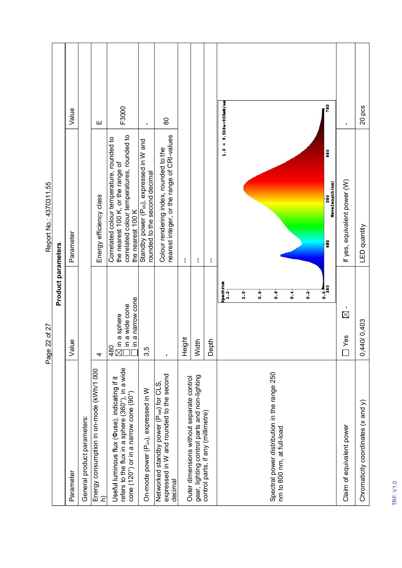|                                                                                                                                            | Page 22 of 27                                                                                                  | Report No.: 4370311.55                                                                                                                             |                        |
|--------------------------------------------------------------------------------------------------------------------------------------------|----------------------------------------------------------------------------------------------------------------|----------------------------------------------------------------------------------------------------------------------------------------------------|------------------------|
|                                                                                                                                            | Product parameters                                                                                             |                                                                                                                                                    |                        |
| Parameter                                                                                                                                  | Value                                                                                                          | Parameter                                                                                                                                          | Value                  |
| General product parameters:                                                                                                                |                                                                                                                |                                                                                                                                                    |                        |
| Energy consumption in on-mode (kWh/1 000<br>$\widehat{\mathsf{c}}$                                                                         | 4                                                                                                              | Energy efficiency class                                                                                                                            | Ш                      |
| Useful luminous flux (Фuse), indicating if it<br>refers to the flux in a sphere (360°), in a wide<br>cone (120°) or in a narrow cone (90°) | a narrow cone<br>$\boxtimes$ in a sphere<br>$\Box$ in a wide cone<br>$\Box$ in a narrow con<br>a sphere<br>480 | correlated colour temperatures, rounded to<br>Correlated colour temperature, rounded to<br>the nearest 100 K, or the range of<br>the nearest 100 K | F3000                  |
| On-mode power (P <sub>on</sub> ), expressed in W                                                                                           | 3,5                                                                                                            | Standby power (P <sub>sb</sub> ), expressed in W and<br>rounded to the second decimal                                                              | $\mathbf{I}$           |
| Networked standby power (P <sub>net</sub> ) for CLS,<br>expressed in W and rounded to the second<br>decimal                                | $\blacksquare$                                                                                                 | nearest integer, or the range of CRI-values<br>Colour rendering index, rounded to the                                                              | 8                      |
| Outer dimensions without separate control                                                                                                  | Height                                                                                                         | ł                                                                                                                                                  |                        |
| gear, lighting control parts and non-lighting<br>control parts, if any (millimetre)                                                        | Width                                                                                                          | ł                                                                                                                                                  |                        |
|                                                                                                                                            | Depth                                                                                                          | ł                                                                                                                                                  |                        |
|                                                                                                                                            | Spectrum<br>1.2 <sub>1</sub>                                                                                   |                                                                                                                                                    | $1.0 = 9.518e+000mW/m$ |
|                                                                                                                                            | $1.0 -$                                                                                                        |                                                                                                                                                    |                        |
|                                                                                                                                            | 0.8                                                                                                            |                                                                                                                                                    |                        |
| Spectral power distribution in the range 250<br>nm to 800 nm, at full-load                                                                 | $\ddot{\bullet}$                                                                                               |                                                                                                                                                    |                        |
|                                                                                                                                            |                                                                                                                |                                                                                                                                                    |                        |
|                                                                                                                                            | $\ddot{\bullet}$                                                                                               |                                                                                                                                                    |                        |
|                                                                                                                                            | $\ddot{0}$ .                                                                                                   |                                                                                                                                                    |                        |
|                                                                                                                                            | $rac{1}{280}$                                                                                                  | 680<br>Wavelength (nm)<br>580<br>480                                                                                                               | 780                    |
| Claim of equivalent power                                                                                                                  | $\boxtimes$<br>89<br>$\Box$                                                                                    | If yes, equivalent power (W)                                                                                                                       | $\mathbf{I}$           |
| Chromaticity coordinates (x and y)                                                                                                         | 0,440/0,403                                                                                                    | LED quantity                                                                                                                                       | 20 pcs                 |
|                                                                                                                                            |                                                                                                                |                                                                                                                                                    |                        |
| <b>TRF: V1.0</b>                                                                                                                           |                                                                                                                |                                                                                                                                                    |                        |
|                                                                                                                                            |                                                                                                                |                                                                                                                                                    |                        |